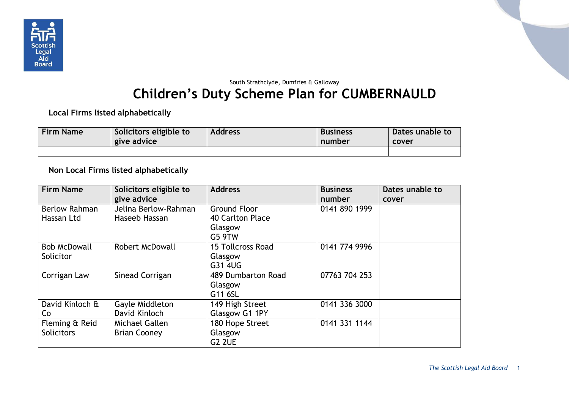

## South Strathclyde, Dumfries & Galloway **Children's Duty Scheme Plan for CUMBERNAULD**

**Local Firms listed alphabetically**

| <b>Firm Name</b> | Solicitors eligible to<br>give advice | <b>Address</b> | <b>Business</b><br>number | <b>Dates unable to</b><br>cover |
|------------------|---------------------------------------|----------------|---------------------------|---------------------------------|
|                  |                                       |                |                           |                                 |

**Non Local Firms listed alphabetically**

| <b>Firm Name</b>     | Solicitors eligible to | <b>Address</b>           | <b>Business</b> | Dates unable to |
|----------------------|------------------------|--------------------------|-----------------|-----------------|
|                      | give advice            |                          | number          | cover           |
| <b>Berlow Rahman</b> | Jelina Berlow-Rahman   | <b>Ground Floor</b>      | 0141 890 1999   |                 |
| Hassan Ltd           | Haseeb Hassan          | 40 Carlton Place         |                 |                 |
|                      |                        | Glasgow                  |                 |                 |
|                      |                        | G5 9TW                   |                 |                 |
| <b>Bob McDowall</b>  | <b>Robert McDowall</b> | <b>15 Tollcross Road</b> | 0141 774 9996   |                 |
| Solicitor            |                        | Glasgow                  |                 |                 |
|                      |                        | G31 4UG                  |                 |                 |
| Corrigan Law         | Sinead Corrigan        | 489 Dumbarton Road       | 07763 704 253   |                 |
|                      |                        | Glasgow                  |                 |                 |
|                      |                        | G11 6SL                  |                 |                 |
| David Kinloch &      | Gayle Middleton        | 149 High Street          | 0141 336 3000   |                 |
| Co                   | David Kinloch          | Glasgow G1 1PY           |                 |                 |
| Fleming & Reid       | Michael Gallen         | 180 Hope Street          | 0141 331 1144   |                 |
| <b>Solicitors</b>    | <b>Brian Cooney</b>    | Glasgow                  |                 |                 |
|                      |                        | <b>G2 2UE</b>            |                 |                 |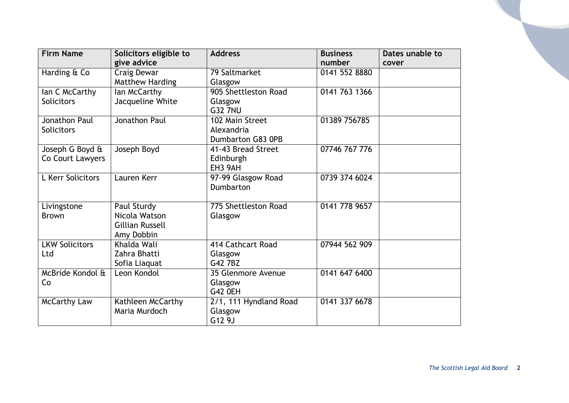| <b>Firm Name</b>      | Solicitors eligible to<br>give advice | <b>Address</b>         | <b>Business</b><br>number | Dates unable to<br>cover |
|-----------------------|---------------------------------------|------------------------|---------------------------|--------------------------|
| Harding & Co          | Craig Dewar                           | 79 Saltmarket          | 0141 552 8880             |                          |
|                       | Matthew Harding                       | Glasgow                |                           |                          |
| lan C McCarthy        | lan McCarthy                          | 905 Shettleston Road   | 0141 763 1366             |                          |
| <b>Solicitors</b>     | Jacqueline White                      | Glasgow                |                           |                          |
|                       |                                       | <b>G32 7NU</b>         |                           |                          |
| <b>Jonathon Paul</b>  | Jonathon Paul                         | 102 Main Street        | 01389 756785              |                          |
| <b>Solicitors</b>     |                                       | Alexandria             |                           |                          |
|                       |                                       | Dumbarton G83 0PB      |                           |                          |
| Joseph G Boyd &       | Joseph Boyd                           | 41-43 Bread Street     | 07746 767 776             |                          |
| Co Court Lawyers      |                                       | Edinburgh              |                           |                          |
|                       |                                       | EH3 9AH                |                           |                          |
| L Kerr Solicitors     | Lauren Kerr                           | 97-99 Glasgow Road     | 0739 374 6024             |                          |
|                       |                                       | Dumbarton              |                           |                          |
|                       |                                       |                        |                           |                          |
| Livingstone           | Paul Sturdy                           | 775 Shettleston Road   | 0141 778 9657             |                          |
| <b>Brown</b>          | Nicola Watson                         | Glasgow                |                           |                          |
|                       | <b>Gillian Russell</b>                |                        |                           |                          |
|                       | Amy Dobbin                            |                        |                           |                          |
| <b>LKW Solicitors</b> | Khalda Wali                           | 414 Cathcart Road      | 07944 562 909             |                          |
| Ltd                   | Zahra Bhatti                          | Glasgow                |                           |                          |
|                       | Sofia Liaquat                         | G42 7BZ                |                           |                          |
| McBride Kondol &      | Leon Kondol                           | 35 Glenmore Avenue     | 0141 647 6400             |                          |
| Co                    |                                       | Glasgow                |                           |                          |
|                       |                                       | <b>G42 OEH</b>         |                           |                          |
| <b>McCarthy Law</b>   | Kathleen McCarthy                     | 2/1, 111 Hyndland Road | 0141 337 6678             |                          |
|                       | Maria Murdoch                         | Glasgow                |                           |                          |
|                       |                                       | G12 9J                 |                           |                          |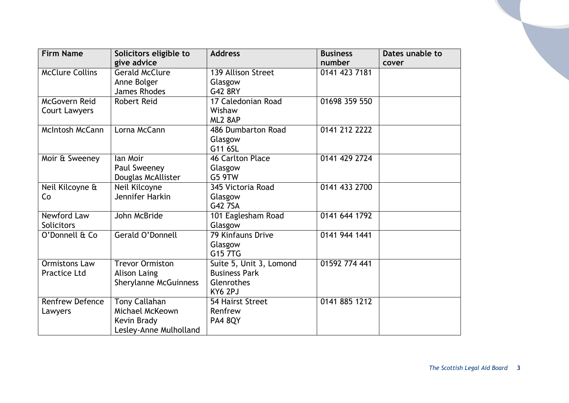| <b>Firm Name</b>       | Solicitors eligible to<br>give advice | <b>Address</b>           | <b>Business</b><br>number | Dates unable to<br>cover |
|------------------------|---------------------------------------|--------------------------|---------------------------|--------------------------|
| <b>McClure Collins</b> | <b>Gerald McClure</b>                 | 139 Allison Street       | 0141 423 7181             |                          |
|                        | Anne Bolger                           | Glasgow                  |                           |                          |
|                        | James Rhodes                          | G42 8RY                  |                           |                          |
| <b>McGovern Reid</b>   | <b>Robert Reid</b>                    | 17 Caledonian Road       | 01698 359 550             |                          |
| Court Lawyers          |                                       | Wishaw                   |                           |                          |
|                        |                                       | ML2 8AP                  |                           |                          |
| McIntosh McCann        | Lorna McCann                          | 486 Dumbarton Road       | 0141 212 2222             |                          |
|                        |                                       | Glasgow                  |                           |                          |
|                        |                                       | G11 6SL                  |                           |                          |
| Moir & Sweeney         | lan Moir                              | 46 Carlton Place         | 0141 429 2724             |                          |
|                        | Paul Sweeney                          | Glasgow                  |                           |                          |
|                        | Douglas McAllister                    | G5 9TW                   |                           |                          |
| Neil Kilcoyne &        | Neil Kilcoyne                         | 345 Victoria Road        | 0141 433 2700             |                          |
| Co                     | Jennifer Harkin                       | Glasgow                  |                           |                          |
|                        |                                       | G42 7SA                  |                           |                          |
| Newford Law            | John McBride                          | 101 Eaglesham Road       | 0141 644 1792             |                          |
| Solicitors             |                                       | Glasgow                  |                           |                          |
| O'Donnell & Co         | Gerald O'Donnell                      | <b>79 Kinfauns Drive</b> | 0141 944 1441             |                          |
|                        |                                       | Glasgow                  |                           |                          |
|                        |                                       | G15 7TG                  |                           |                          |
| <b>Ormistons Law</b>   | <b>Trevor Ormiston</b>                | Suite 5, Unit 3, Lomond  | 01592 774 441             |                          |
| <b>Practice Ltd</b>    | <b>Alison Laing</b>                   | <b>Business Park</b>     |                           |                          |
|                        | <b>Sherylanne McGuinness</b>          | Glenrothes               |                           |                          |
|                        |                                       | KY6 2PJ                  |                           |                          |
| <b>Renfrew Defence</b> | Tony Callahan                         | 54 Hairst Street         | 0141 885 1212             |                          |
| Lawyers                | Michael McKeown                       | Renfrew                  |                           |                          |
|                        | Kevin Brady                           | <b>PA4 8QY</b>           |                           |                          |
|                        | Lesley-Anne Mulholland                |                          |                           |                          |